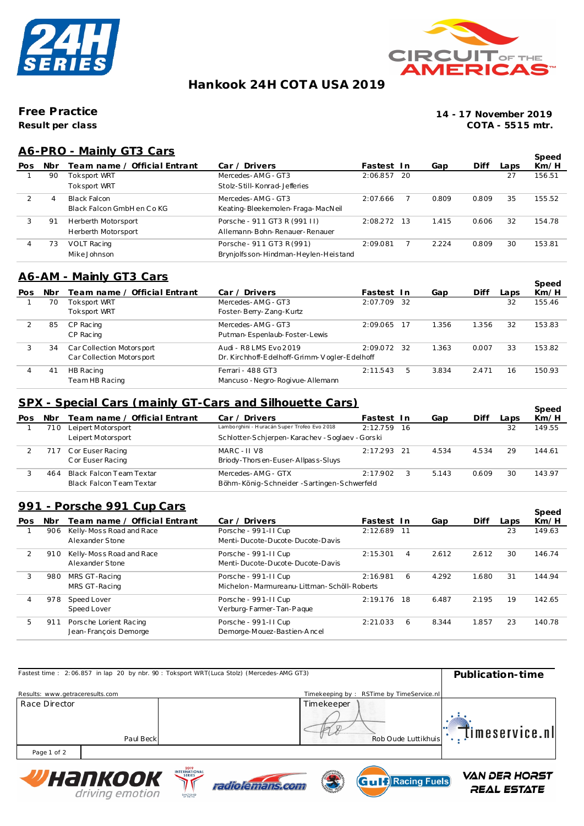



# **Hankook 24H COT A USA 2019**

**Result per class Free Practice**

**14 - 17 November 2019 COTA - 5515 mtr.**

## **A6-PRO - Mainly GT3 Cars**

|     |     | <u> AU-FRU - Mallilly UTJ Cars</u> |                                       |               |       |       |      | Speed  |
|-----|-----|------------------------------------|---------------------------------------|---------------|-------|-------|------|--------|
| Pos | Nbr | Team name / Official Entrant       | Car / Driver                          | Fastest In    | Gap   | Diff  | Laps | Km/H   |
|     | 90  | Toksport WRT                       | Mercedes-AMG-GT3                      | 2:06.857 20   |       |       | 27   | 156.51 |
|     |     | Toksport WRT                       | Stolz-Still-Konrad-Jefferies          |               |       |       |      |        |
|     | 4   | Black Falcon                       | Mercedes-AMG-GT3                      | 2:07.666      | 0.809 | 0.809 | 35   | 155.52 |
|     |     | Black Falcon GmbH en Co KG         | Keating-Bleekemolen-Fraga-MacNeil     |               |       |       |      |        |
| 3   | 91  | Herberth Motorsport                | Porsche - 911 GT3 R (991 II)          | $2:08.272$ 13 | 1.415 | 0.606 | 32   | 154.78 |
|     |     | Herberth Motorsport                | Allemann-Bohn-Renauer-Renauer         |               |       |       |      |        |
| 4   | 73  | VOLT Racing                        | Porsche - 911 GT3 R (991)             | 2:09.081      | 2.224 | 0.809 | 30   | 153.81 |
|     |     | Mike Johnson                       | Brynjolfs son-Hindman-Heylen-Heistand |               |       |       |      |        |

## **A6-AM - Mainly GT3 Cars**

|     |                              |                                              |          |   |                                                           |       |      | Speed  |
|-----|------------------------------|----------------------------------------------|----------|---|-----------------------------------------------------------|-------|------|--------|
| Nbr | Team name / Official Entrant | Car / Driver                                 |          |   | Gap                                                       | Diff  | Laps | Km/H   |
| 70  | Toksport WRT                 | Mercedes-AMG-GT3                             |          |   |                                                           |       | 32   | 155.46 |
|     | Toksport WRT                 | Foster-Berry-Zang-Kurtz                      |          |   |                                                           |       |      |        |
| 85  | CP Racing                    | Mercedes-AMG-GT3                             |          |   | 1.356                                                     | 1.356 | 32   | 153.83 |
|     | CP Racing                    | Putman-Espenlaub-Foster-Lewis                |          |   |                                                           |       |      |        |
| 34  | Car Collection Motorsport    | Audi - R8 LMS Evo 2019                       |          |   | 1.363                                                     | 0.007 | 33   | 153.82 |
|     | Car Collection Motorsport    | Dr. Kirchhoff-Edelhoff-Grimm-Vogler-Edelhoff |          |   |                                                           |       |      |        |
| 41  | HB Racing                    | Ferrari - 488 GT3                            | 2:11.543 | b | 3.834                                                     | 2.471 | 16   | 150.93 |
|     | Team HB Racing               | Mancuso - Negro-Rogivue-Allemann             |          |   |                                                           |       |      |        |
|     |                              |                                              |          |   | Fastest In<br>2:07.709 32<br>2:09.065 17<br>$2:09.072$ 32 |       |      |        |

### **SPX - Special Cars (mainly GT-Cars and Silhouette Cars)**

| Pos | Nbr  | <u> JF A - JUCCIAI CAI S (THAIHIY GT-CAI S AND JIINUUCTLE CAI ST</u><br>Team name / Official Entrant | Car / Driver                                | Fastest In    |   | Gap   | Diff  | Laps | Speed<br>Km/H |
|-----|------|------------------------------------------------------------------------------------------------------|---------------------------------------------|---------------|---|-------|-------|------|---------------|
|     | '1 O | Leipert Motorsport                                                                                   | Lamborghini - Huracán Super Trofeo Evo 2018 | 2:12.759 16   |   |       |       | 32   | 149.55        |
|     |      | Leipert Motorsport                                                                                   | Schlotter-Schierpen-Karachev-Soglaev-Gorski |               |   |       |       |      |               |
|     |      | 717 Cor Euser Racing                                                                                 | MARC - II V8                                | $2:17.293$ 21 |   | 4.534 | 4.534 | 29   | 144.61        |
|     |      | C or Euser Racing                                                                                    | Briody-Thorsen-Euser-Allpass-Sluys          |               |   |       |       |      |               |
|     | 464  | Black Falcon Team Textar                                                                             | Mercedes-AMG - GTX                          | 2:17.902      | 3 | 5.143 | 0.609 | 30   | 143.97        |
|     |      | Black Falcon Team Textar                                                                             | Böhm-König-Schneider-Sartingen-Schwerfeld   |               |   |       |       |      |               |

#### **991 - Porsche 991 Cup Cars**

|     |     | <u>991 - Porsche 991 UUD Uars</u> |                                                |               |       |       |      | Speed  |
|-----|-----|-----------------------------------|------------------------------------------------|---------------|-------|-------|------|--------|
| Pos | Nbr | Team name / Official Entrant      | Car / Drivers                                  | Fastest In    | Gap   | Diff  | Laps | Km/H   |
|     | 906 | Kelly-Moss Road and Race          | Porsche - 991-II Cup                           | 2:12.689 11   |       |       | 23   | 149.63 |
|     |     | Alexander Stone                   | Menti-Ducote-Ducote-Ducote-Davis               |               |       |       |      |        |
| 2   | 910 | Kelly-Moss Road and Race          | Porsche - 991-II Cup                           | 2:15.301<br>4 | 2.612 | 2.612 | 30   | 146.74 |
|     |     | Alexander Stone                   | Menti-Ducote-Ducote-Ducote-Davis               |               |       |       |      |        |
| 3   | 980 | MRS GT-Racing                     | Porsche - 991-II Cup                           | 2:16.981<br>6 | 4.292 | 1.680 | 31   | 144.94 |
|     |     | MRS GT-Racing                     | Michelon - Marmureanu-Littman - Schöll-Roberts |               |       |       |      |        |
| 4   | 978 | Speed Lover                       | Porsche - 991-11 Cup                           | 2:19.176 18   | 6.487 | 2.195 | 19   | 142.65 |
|     |     | Speed Lover                       | Verburg-Farmer-Tan-Paque                       |               |       |       |      |        |
| 5.  | 911 | Porsche Lorient Racing            | Porsche - 991-11 Cup                           | 2:21.033<br>6 | 8.344 | 1.857 | 23   | 140.78 |
|     |     | Jean-François Demorge             | Demorge-Mouez-Bastien-Ancel                    |               |       |       |      |        |

|                                 | Fastest time: 2:06.857 in lap 20 by nbr. 90: Toksport WRT(Luca Stolz) (Mercedes-AMG GT3) | Publication-time                                                 |
|---------------------------------|------------------------------------------------------------------------------------------|------------------------------------------------------------------|
| Results: www.getraceresults.com |                                                                                          | Timekeeping by: RSTime by TimeService.nl                         |
| Race Director                   | Paul Beck                                                                                | Timekeeper<br>$\mathbb{F}$ Timeservice.nl<br>Rob Oude Luttikhuis |
| Page 1 of 2                     |                                                                                          |                                                                  |
|                                 | 2019<br>INITEDMATICMAL                                                                   | -45554                                                           |







**VAN DER HORST** REAL ESTATE